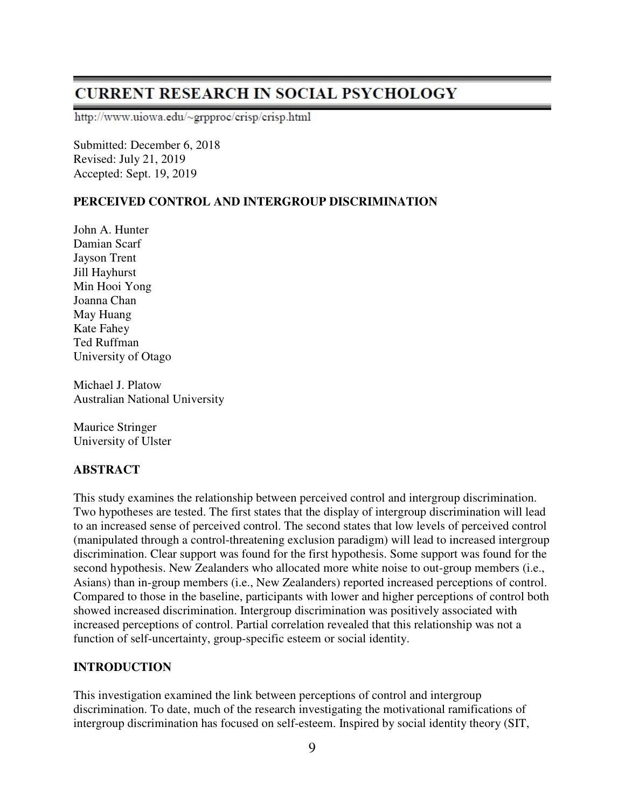# **CURRENT RESEARCH IN SOCIAL PSYCHOLOGY**

http://www.uiowa.edu/~grpproc/crisp/crisp.html

Submitted: December 6, 2018 Revised: July 21, 2019 Accepted: Sept. 19, 2019

# **PERCEIVED CONTROL AND INTERGROUP DISCRIMINATION**

John A. Hunter Damian Scarf Jayson Trent Jill Hayhurst Min Hooi Yong Joanna Chan May Huang Kate Fahey Ted Ruffman University of Otago

Michael J. Platow Australian National University

Maurice Stringer University of Ulster

# **ABSTRACT**

This study examines the relationship between perceived control and intergroup discrimination. Two hypotheses are tested. The first states that the display of intergroup discrimination will lead to an increased sense of perceived control. The second states that low levels of perceived control (manipulated through a control-threatening exclusion paradigm) will lead to increased intergroup discrimination. Clear support was found for the first hypothesis. Some support was found for the second hypothesis. New Zealanders who allocated more white noise to out-group members (i.e., Asians) than in-group members (i.e., New Zealanders) reported increased perceptions of control. Compared to those in the baseline, participants with lower and higher perceptions of control both showed increased discrimination. Intergroup discrimination was positively associated with increased perceptions of control. Partial correlation revealed that this relationship was not a function of self-uncertainty, group-specific esteem or social identity.

# **INTRODUCTION**

This investigation examined the link between perceptions of control and intergroup discrimination. To date, much of the research investigating the motivational ramifications of intergroup discrimination has focused on self-esteem. Inspired by social identity theory (SIT,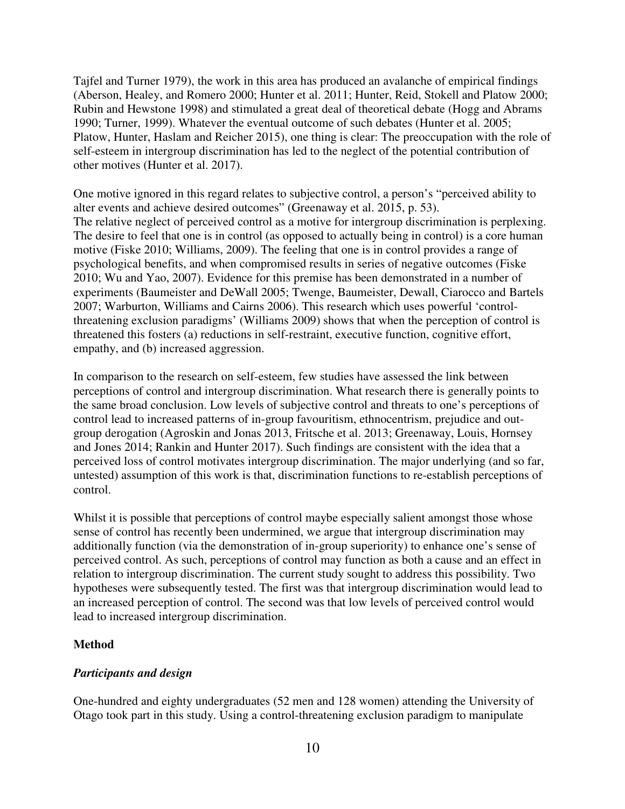Tajfel and Turner 1979), the work in this area has produced an avalanche of empirical findings (Aberson, Healey, and Romero 2000; Hunter et al. 2011; Hunter, Reid, Stokell and Platow 2000; Rubin and Hewstone 1998) and stimulated a great deal of theoretical debate (Hogg and Abrams 1990; Turner, 1999). Whatever the eventual outcome of such debates (Hunter et al. 2005; Platow, Hunter, Haslam and Reicher 2015), one thing is clear: The preoccupation with the role of self-esteem in intergroup discrimination has led to the neglect of the potential contribution of other motives (Hunter et al. 2017).

One motive ignored in this regard relates to subjective control, a person's "perceived ability to alter events and achieve desired outcomes" (Greenaway et al. 2015, p. 53). The relative neglect of perceived control as a motive for intergroup discrimination is perplexing. The desire to feel that one is in control (as opposed to actually being in control) is a core human motive (Fiske 2010; Williams, 2009). The feeling that one is in control provides a range of psychological benefits, and when compromised results in series of negative outcomes (Fiske 2010; Wu and Yao, 2007). Evidence for this premise has been demonstrated in a number of experiments (Baumeister and DeWall 2005; Twenge, Baumeister, Dewall, Ciarocco and Bartels 2007; Warburton, Williams and Cairns 2006). This research which uses powerful 'controlthreatening exclusion paradigms' (Williams 2009) shows that when the perception of control is threatened this fosters (a) reductions in self-restraint, executive function, cognitive effort, empathy, and (b) increased aggression.

In comparison to the research on self-esteem, few studies have assessed the link between perceptions of control and intergroup discrimination. What research there is generally points to the same broad conclusion. Low levels of subjective control and threats to one's perceptions of control lead to increased patterns of in-group favouritism, ethnocentrism, prejudice and outgroup derogation (Agroskin and Jonas 2013, Fritsche et al. 2013; Greenaway, Louis, Hornsey and Jones 2014; Rankin and Hunter 2017). Such findings are consistent with the idea that a perceived loss of control motivates intergroup discrimination. The major underlying (and so far, untested) assumption of this work is that, discrimination functions to re-establish perceptions of control.

Whilst it is possible that perceptions of control maybe especially salient amongst those whose sense of control has recently been undermined, we argue that intergroup discrimination may additionally function (via the demonstration of in-group superiority) to enhance one's sense of perceived control. As such, perceptions of control may function as both a cause and an effect in relation to intergroup discrimination. The current study sought to address this possibility. Two hypotheses were subsequently tested. The first was that intergroup discrimination would lead to an increased perception of control. The second was that low levels of perceived control would lead to increased intergroup discrimination.

### **Method**

### *Participants and design*

One-hundred and eighty undergraduates (52 men and 128 women) attending the University of Otago took part in this study. Using a control-threatening exclusion paradigm to manipulate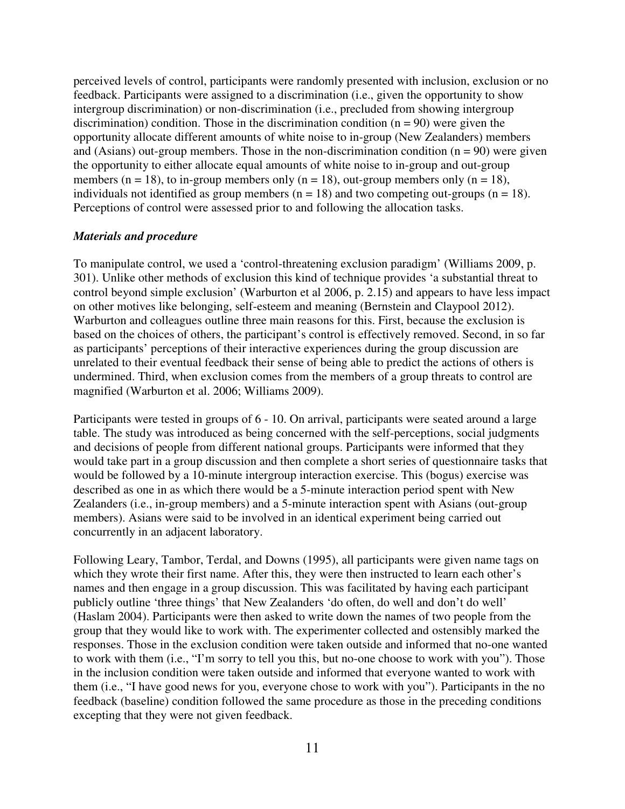perceived levels of control, participants were randomly presented with inclusion, exclusion or no feedback. Participants were assigned to a discrimination (i.e., given the opportunity to show intergroup discrimination) or non-discrimination (i.e., precluded from showing intergroup discrimination) condition. Those in the discrimination condition  $(n = 90)$  were given the opportunity allocate different amounts of white noise to in-group (New Zealanders) members and (Asians) out-group members. Those in the non-discrimination condition  $(n = 90)$  were given the opportunity to either allocate equal amounts of white noise to in-group and out-group members ( $n = 18$ ), to in-group members only ( $n = 18$ ), out-group members only ( $n = 18$ ), individuals not identified as group members ( $n = 18$ ) and two competing out-groups ( $n = 18$ ). Perceptions of control were assessed prior to and following the allocation tasks.

### *Materials and procedure*

To manipulate control, we used a 'control-threatening exclusion paradigm' (Williams 2009, p. 301). Unlike other methods of exclusion this kind of technique provides 'a substantial threat to control beyond simple exclusion' (Warburton et al 2006, p. 2.15) and appears to have less impact on other motives like belonging, self-esteem and meaning (Bernstein and Claypool 2012). Warburton and colleagues outline three main reasons for this. First, because the exclusion is based on the choices of others, the participant's control is effectively removed. Second, in so far as participants' perceptions of their interactive experiences during the group discussion are unrelated to their eventual feedback their sense of being able to predict the actions of others is undermined. Third, when exclusion comes from the members of a group threats to control are magnified (Warburton et al. 2006; Williams 2009).

Participants were tested in groups of 6 - 10. On arrival, participants were seated around a large table. The study was introduced as being concerned with the self-perceptions, social judgments and decisions of people from different national groups. Participants were informed that they would take part in a group discussion and then complete a short series of questionnaire tasks that would be followed by a 10-minute intergroup interaction exercise. This (bogus) exercise was described as one in as which there would be a 5-minute interaction period spent with New Zealanders (i.e., in-group members) and a 5-minute interaction spent with Asians (out-group members). Asians were said to be involved in an identical experiment being carried out concurrently in an adjacent laboratory.

Following Leary, Tambor, Terdal, and Downs (1995), all participants were given name tags on which they wrote their first name. After this, they were then instructed to learn each other's names and then engage in a group discussion. This was facilitated by having each participant publicly outline 'three things' that New Zealanders 'do often, do well and don't do well' (Haslam 2004). Participants were then asked to write down the names of two people from the group that they would like to work with. The experimenter collected and ostensibly marked the responses. Those in the exclusion condition were taken outside and informed that no-one wanted to work with them (i.e., "I'm sorry to tell you this, but no-one choose to work with you"). Those in the inclusion condition were taken outside and informed that everyone wanted to work with them (i.e., "I have good news for you, everyone chose to work with you"). Participants in the no feedback (baseline) condition followed the same procedure as those in the preceding conditions excepting that they were not given feedback.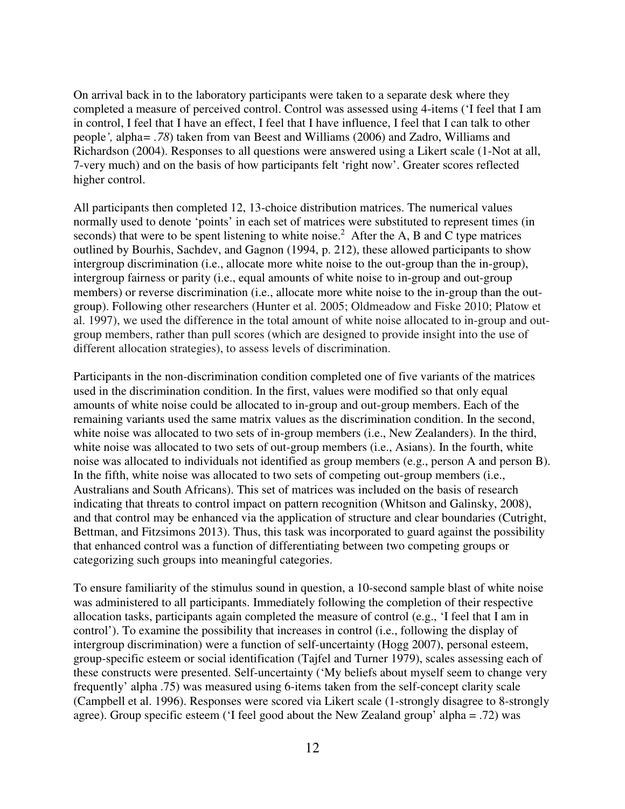On arrival back in to the laboratory participants were taken to a separate desk where they completed a measure of perceived control. Control was assessed using 4-items ('I feel that I am in control, I feel that I have an effect, I feel that I have influence, I feel that I can talk to other people*',* alpha*= .78*) taken from van Beest and Williams (2006) and Zadro, Williams and Richardson (2004). Responses to all questions were answered using a Likert scale (1-Not at all, 7-very much) and on the basis of how participants felt 'right now'. Greater scores reflected higher control.

All participants then completed 12, 13-choice distribution matrices. The numerical values normally used to denote 'points' in each set of matrices were substituted to represent times (in seconds) that were to be spent listening to white noise.<sup>2</sup> After the A, B and C type matrices outlined by Bourhis, Sachdev, and Gagnon (1994, p. 212), these allowed participants to show intergroup discrimination (i.e., allocate more white noise to the out-group than the in-group), intergroup fairness or parity (i.e., equal amounts of white noise to in-group and out-group members) or reverse discrimination (i.e., allocate more white noise to the in-group than the outgroup). Following other researchers (Hunter et al. 2005; Oldmeadow and Fiske 2010; Platow et al. 1997), we used the difference in the total amount of white noise allocated to in-group and outgroup members, rather than pull scores (which are designed to provide insight into the use of different allocation strategies), to assess levels of discrimination.

Participants in the non-discrimination condition completed one of five variants of the matrices used in the discrimination condition. In the first, values were modified so that only equal amounts of white noise could be allocated to in-group and out-group members. Each of the remaining variants used the same matrix values as the discrimination condition. In the second, white noise was allocated to two sets of in-group members (i.e., New Zealanders). In the third, white noise was allocated to two sets of out-group members (i.e., Asians). In the fourth, white noise was allocated to individuals not identified as group members (e.g., person A and person B). In the fifth, white noise was allocated to two sets of competing out-group members (i.e., Australians and South Africans). This set of matrices was included on the basis of research indicating that threats to control impact on pattern recognition (Whitson and Galinsky, 2008), and that control may be enhanced via the application of structure and clear boundaries (Cutright, Bettman, and Fitzsimons 2013). Thus, this task was incorporated to guard against the possibility that enhanced control was a function of differentiating between two competing groups or categorizing such groups into meaningful categories.

To ensure familiarity of the stimulus sound in question, a 10-second sample blast of white noise was administered to all participants. Immediately following the completion of their respective allocation tasks, participants again completed the measure of control (e.g., 'I feel that I am in control'). To examine the possibility that increases in control (i.e., following the display of intergroup discrimination) were a function of self-uncertainty (Hogg 2007), personal esteem, group-specific esteem or social identification (Tajfel and Turner 1979), scales assessing each of these constructs were presented. Self-uncertainty ('My beliefs about myself seem to change very frequently' alpha .75) was measured using 6-items taken from the self-concept clarity scale (Campbell et al. 1996). Responses were scored via Likert scale (1-strongly disagree to 8-strongly agree). Group specific esteem ('I feel good about the New Zealand group' alpha = .72) was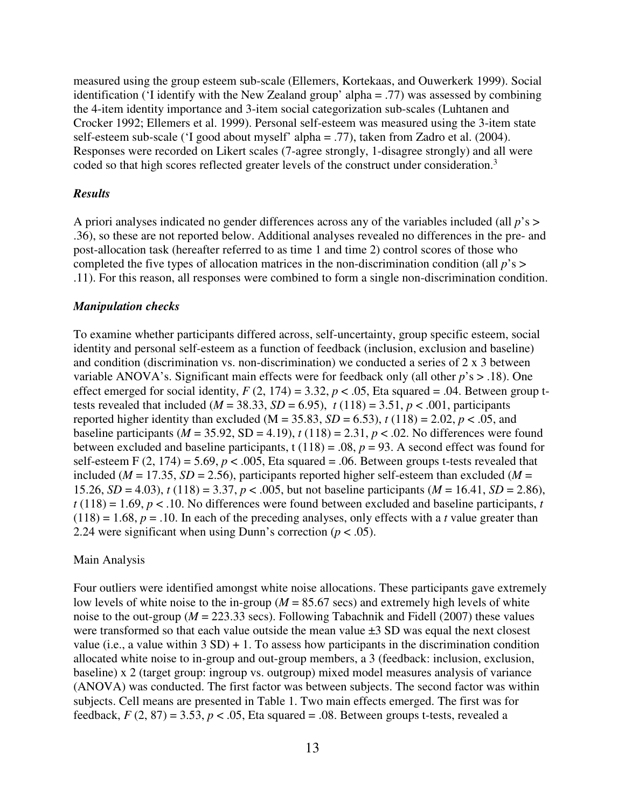measured using the group esteem sub-scale (Ellemers, Kortekaas, and Ouwerkerk 1999). Social identification ('I identify with the New Zealand group' alpha = .77) was assessed by combining the 4-item identity importance and 3-item social categorization sub-scales (Luhtanen and Crocker 1992; Ellemers et al. 1999). Personal self-esteem was measured using the 3-item state self-esteem sub-scale ('I good about myself' alpha = .77), taken from Zadro et al. (2004). Responses were recorded on Likert scales (7-agree strongly, 1-disagree strongly) and all were coded so that high scores reflected greater levels of the construct under consideration.<sup>3</sup>

#### *Results*

A priori analyses indicated no gender differences across any of the variables included (all *p*'s > .36), so these are not reported below. Additional analyses revealed no differences in the pre- and post-allocation task (hereafter referred to as time 1 and time 2) control scores of those who completed the five types of allocation matrices in the non-discrimination condition (all *p*'s > .11). For this reason, all responses were combined to form a single non-discrimination condition.

#### *Manipulation checks*

To examine whether participants differed across, self-uncertainty, group specific esteem, social identity and personal self-esteem as a function of feedback (inclusion, exclusion and baseline) and condition (discrimination vs. non-discrimination) we conducted a series of 2 x 3 between variable ANOVA's. Significant main effects were for feedback only (all other *p*'s > .18). One effect emerged for social identity,  $F(2, 174) = 3.32$ ,  $p < .05$ , Eta squared = .04. Between group ttests revealed that included ( $M = 38.33$ ,  $SD = 6.95$ ),  $t(118) = 3.51$ ,  $p < .001$ , participants reported higher identity than excluded (M = 35.83, *SD* = 6.53),  $t(118) = 2.02$ ,  $p < .05$ , and baseline participants ( $M = 35.92$ , SD = 4.19),  $t(118) = 2.31$ ,  $p < .02$ . No differences were found between excluded and baseline participants, t  $(118) = .08$ ,  $p = 93$ . A second effect was found for self-esteem F  $(2, 174) = 5.69$ ,  $p < .005$ , Eta squared = .06. Between groups t-tests revealed that included ( $M = 17.35$ ,  $SD = 2.56$ ), participants reported higher self-esteem than excluded ( $M =$ 15.26, *SD* = 4.03), *t* (118) = 3.37, *p* < .005, but not baseline participants (*M* = 16.41, *SD* = 2.86),  $t(118) = 1.69$ ,  $p < 0.10$ . No differences were found between excluded and baseline participants, *t*  $(118) = 1.68$ ,  $p = .10$ . In each of the preceding analyses, only effects with a *t* value greater than 2.24 were significant when using Dunn's correction  $(p < .05)$ .

#### Main Analysis

Four outliers were identified amongst white noise allocations. These participants gave extremely low levels of white noise to the in-group ( $M = 85.67$  secs) and extremely high levels of white noise to the out-group ( $M = 223.33$  secs). Following Tabachnik and Fidell (2007) these values were transformed so that each value outside the mean value  $\pm 3$  SD was equal the next closest value (i.e., a value within  $3 SD$ ) + 1. To assess how participants in the discrimination condition allocated white noise to in-group and out-group members, a 3 (feedback: inclusion, exclusion, baseline) x 2 (target group: ingroup vs. outgroup) mixed model measures analysis of variance (ANOVA) was conducted. The first factor was between subjects. The second factor was within subjects. Cell means are presented in Table 1. Two main effects emerged. The first was for feedback,  $F(2, 87) = 3.53$ ,  $p < .05$ , Eta squared = .08. Between groups t-tests, revealed a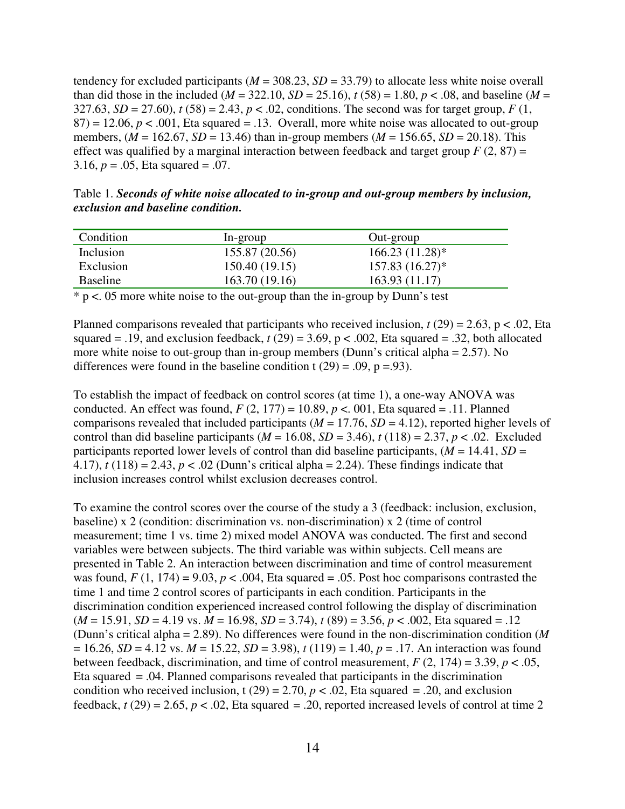tendency for excluded participants ( $M = 308.23$ ,  $SD = 33.79$ ) to allocate less white noise overall than did those in the included ( $M = 322.10$ ,  $SD = 25.16$ ),  $t(58) = 1.80$ ,  $p < .08$ , and baseline ( $M =$ 327.63,  $SD = 27.60$ ,  $t (58) = 2.43$ ,  $p < .02$ , conditions. The second was for target group,  $F (1, 1)$  $87$ ) = 12.06,  $p < .001$ , Eta squared = .13. Overall, more white noise was allocated to out-group members,  $(M = 162.67, SD = 13.46)$  than in-group members  $(M = 156.65, SD = 20.18)$ . This effect was qualified by a marginal interaction between feedback and target group  $F(2, 87) =$ 3.16, *p* = .05, Eta squared = .07.

Table 1. *Seconds of white noise allocated to in-group and out-group members by inclusion, exclusion and baseline condition.* 

| Condition | In-group       | Out-group         |
|-----------|----------------|-------------------|
| Inclusion | 155.87 (20.56) | $166.23(11.28)$ * |
| Exclusion | 150.40(19.15)  | $157.83(16.27)^*$ |
| Baseline  | 163.70(19.16)  | 163.93(11.17)     |

 $*$  p <. 05 more white noise to the out-group than the in-group by Dunn's test

Planned comparisons revealed that participants who received inclusion,  $t(29) = 2.63$ ,  $p < .02$ , Eta squared = .19, and exclusion feedback,  $t(29) = 3.69$ ,  $p < .002$ , Eta squared = .32, both allocated more white noise to out-group than in-group members (Dunn's critical alpha = 2.57). No differences were found in the baseline condition t  $(29) = .09$ , p = 93).

To establish the impact of feedback on control scores (at time 1), a one-way ANOVA was conducted. An effect was found,  $F(2, 177) = 10.89$ ,  $p < .001$ , Eta squared = .11. Planned comparisons revealed that included participants (*M* = 17.76, *SD* = 4.12), reported higher levels of control than did baseline participants ( $M = 16.08$ ,  $SD = 3.46$ ),  $t(118) = 2.37$ ,  $p < .02$ . Excluded participants reported lower levels of control than did baseline participants,  $(M = 14.41, SD =$ 4.17),  $t(118) = 2.43$ ,  $p < .02$  (Dunn's critical alpha = 2.24). These findings indicate that inclusion increases control whilst exclusion decreases control.

To examine the control scores over the course of the study a 3 (feedback: inclusion, exclusion, baseline) x 2 (condition: discrimination vs. non-discrimination) x 2 (time of control measurement; time 1 vs. time 2) mixed model ANOVA was conducted. The first and second variables were between subjects. The third variable was within subjects. Cell means are presented in Table 2. An interaction between discrimination and time of control measurement was found,  $F(1, 174) = 9.03$ ,  $p < .004$ , Eta squared = .05. Post hoc comparisons contrasted the time 1 and time 2 control scores of participants in each condition. Participants in the discrimination condition experienced increased control following the display of discrimination (*M* = 15.91, *SD* = 4.19 vs. *M* = 16.98, *SD* = 3.74), *t* (89) = 3.56, *p* < .002, Eta squared = .12 (Dunn's critical alpha = 2.89). No differences were found in the non-discrimination condition (*M*  $= 16.26$ , *SD* = 4.12 vs. *M* = 15.22, *SD* = 3.98), *t* (119) = 1.40, *p* = .17. An interaction was found between feedback, discrimination, and time of control measurement,  $F(2, 174) = 3.39$ ,  $p < .05$ , Eta squared = .04. Planned comparisons revealed that participants in the discrimination condition who received inclusion, t (29) = 2.70,  $p < .02$ , Eta squared = .20, and exclusion feedback,  $t(29) = 2.65$ ,  $p < .02$ , Eta squared = .20, reported increased levels of control at time 2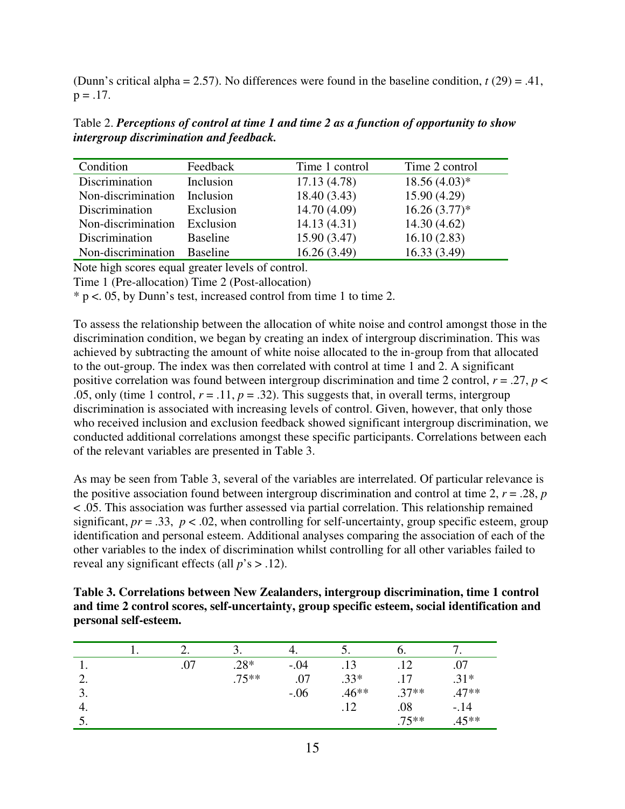(Dunn's critical alpha = 2.57). No differences were found in the baseline condition, *t* (29) = .41,  $p = .17$ .

Table 2. *Perceptions of control at time 1 and time 2 as a function of opportunity to show intergroup discrimination and feedback.* 

| Condition          | Feedback        | Time 1 control | Time 2 control |
|--------------------|-----------------|----------------|----------------|
| Discrimination     | Inclusion       | 17.13(4.78)    | $18.56(4.03)*$ |
| Non-discrimination | Inclusion       | 18.40(3.43)    | 15.90(4.29)    |
| Discrimination     | Exclusion       | 14.70 (4.09)   | $16.26(3.77)*$ |
| Non-discrimination | Exclusion       | 14.13(4.31)    | 14.30(4.62)    |
| Discrimination     | <b>Baseline</b> | 15.90(3.47)    | 16.10(2.83)    |
| Non-discrimination | <b>Baseline</b> | 16.26(3.49)    | 16.33(3.49)    |

Note high scores equal greater levels of control.

Time 1 (Pre-allocation) Time 2 (Post-allocation)

\* p <. 05, by Dunn's test, increased control from time 1 to time 2.

To assess the relationship between the allocation of white noise and control amongst those in the discrimination condition, we began by creating an index of intergroup discrimination. This was achieved by subtracting the amount of white noise allocated to the in-group from that allocated to the out-group. The index was then correlated with control at time 1 and 2. A significant positive correlation was found between intergroup discrimination and time 2 control,  $r = .27$ ,  $p <$ .05, only (time 1 control,  $r = .11$ ,  $p = .32$ ). This suggests that, in overall terms, intergroup discrimination is associated with increasing levels of control. Given, however, that only those who received inclusion and exclusion feedback showed significant intergroup discrimination, we conducted additional correlations amongst these specific participants. Correlations between each of the relevant variables are presented in Table 3.

As may be seen from Table 3, several of the variables are interrelated. Of particular relevance is the positive association found between intergroup discrimination and control at time 2,  $r = .28$ ,  $p = .28$ < .05. This association was further assessed via partial correlation. This relationship remained significant,  $pr = .33$ ,  $p < .02$ , when controlling for self-uncertainty, group specific esteem, group identification and personal esteem. Additional analyses comparing the association of each of the other variables to the index of discrimination whilst controlling for all other variables failed to reveal any significant effects (all *p*'s > .12).

**Table 3. Correlations between New Zealanders, intergroup discrimination, time 1 control and time 2 control scores, self-uncertainty, group specific esteem, social identification and personal self-esteem.** 

|    | ـ ت | - '     |        | J.      | O.      |         |
|----|-----|---------|--------|---------|---------|---------|
| ı. | .07 | $.28*$  | $-.04$ | .13     | 12      | .07     |
| ۷. |     | $.75**$ | .07    | $.33*$  | 17      | $.31*$  |
| J. |     |         | $-.06$ | $.46**$ | $.37**$ | $.47**$ |
| 4. |     |         |        | .12     | .08     | $-14$   |
|    |     |         |        |         | $.75**$ | $.45**$ |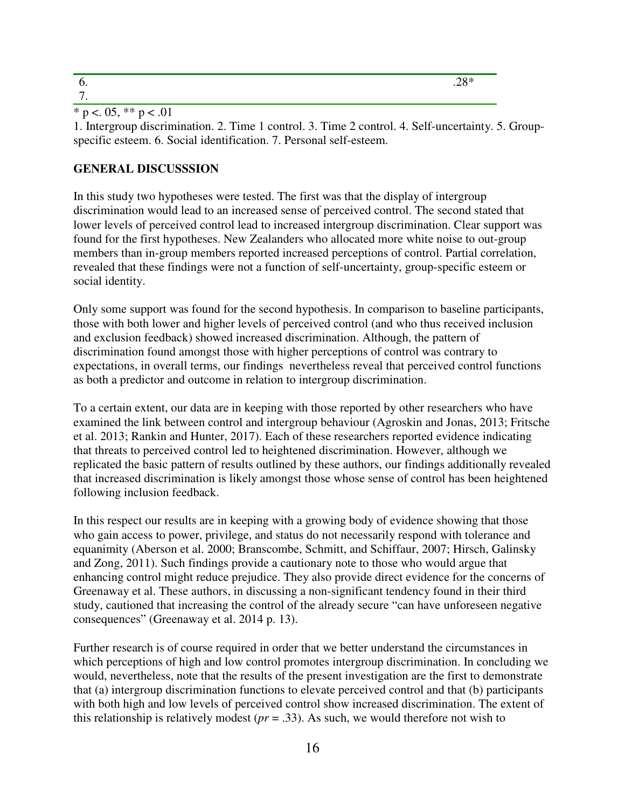\* p <. 05, \*\* p < .01

1. Intergroup discrimination. 2. Time 1 control. 3. Time 2 control. 4. Self-uncertainty. 5. Groupspecific esteem. 6. Social identification. 7. Personal self-esteem.

### **GENERAL DISCUSSSION**

In this study two hypotheses were tested. The first was that the display of intergroup discrimination would lead to an increased sense of perceived control. The second stated that lower levels of perceived control lead to increased intergroup discrimination. Clear support was found for the first hypotheses. New Zealanders who allocated more white noise to out-group members than in-group members reported increased perceptions of control. Partial correlation, revealed that these findings were not a function of self-uncertainty, group-specific esteem or social identity.

Only some support was found for the second hypothesis. In comparison to baseline participants, those with both lower and higher levels of perceived control (and who thus received inclusion and exclusion feedback) showed increased discrimination. Although, the pattern of discrimination found amongst those with higher perceptions of control was contrary to expectations, in overall terms, our findings nevertheless reveal that perceived control functions as both a predictor and outcome in relation to intergroup discrimination.

To a certain extent, our data are in keeping with those reported by other researchers who have examined the link between control and intergroup behaviour (Agroskin and Jonas, 2013; Fritsche et al. 2013; Rankin and Hunter, 2017). Each of these researchers reported evidence indicating that threats to perceived control led to heightened discrimination. However, although we replicated the basic pattern of results outlined by these authors, our findings additionally revealed that increased discrimination is likely amongst those whose sense of control has been heightened following inclusion feedback.

In this respect our results are in keeping with a growing body of evidence showing that those who gain access to power, privilege, and status do not necessarily respond with tolerance and equanimity (Aberson et al. 2000; Branscombe, Schmitt, and Schiffaur, 2007; Hirsch, Galinsky and Zong, 2011). Such findings provide a cautionary note to those who would argue that enhancing control might reduce prejudice. They also provide direct evidence for the concerns of Greenaway et al. These authors, in discussing a non-significant tendency found in their third study, cautioned that increasing the control of the already secure "can have unforeseen negative consequences" (Greenaway et al. 2014 p. 13).

Further research is of course required in order that we better understand the circumstances in which perceptions of high and low control promotes intergroup discrimination. In concluding we would, nevertheless, note that the results of the present investigation are the first to demonstrate that (a) intergroup discrimination functions to elevate perceived control and that (b) participants with both high and low levels of perceived control show increased discrimination. The extent of this relationship is relatively modest (*pr* = .33). As such, we would therefore not wish to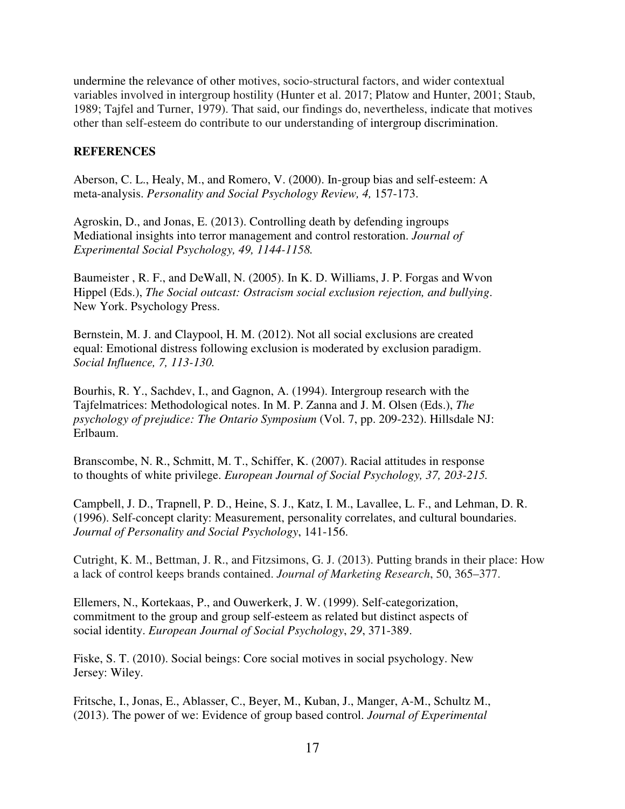undermine the relevance of other motives, socio-structural factors, and wider contextual variables involved in intergroup hostility (Hunter et al. 2017; Platow and Hunter, 2001; Staub, 1989; Tajfel and Turner, 1979). That said, our findings do, nevertheless, indicate that motives other than self-esteem do contribute to our understanding of intergroup discrimination.

### **REFERENCES**

Aberson, C. L., Healy, M., and Romero, V. (2000). In-group bias and self-esteem: A meta-analysis. *Personality and Social Psychology Review, 4,* 157-173.

Agroskin, D., and Jonas, E. (2013). Controlling death by defending ingroups Mediational insights into terror management and control restoration. *Journal of Experimental Social Psychology, 49, 1144-1158.* 

Baumeister , R. F., and DeWall, N. (2005). In K. D. Williams, J. P. Forgas and Wvon Hippel (Eds.), *The Social outcast: Ostracism social exclusion rejection, and bullying*. New York. Psychology Press.

Bernstein, M. J. and Claypool, H. M. (2012). Not all social exclusions are created equal: Emotional distress following exclusion is moderated by exclusion paradigm. *Social Influence, 7, 113-130.* 

Bourhis, R. Y., Sachdev, I., and Gagnon, A. (1994). Intergroup research with the Tajfelmatrices: Methodological notes. In M. P. Zanna and J. M. Olsen (Eds.), *The psychology of prejudice: The Ontario Symposium* (Vol. 7, pp. 209-232). Hillsdale NJ: Erlbaum.

Branscombe, N. R., Schmitt, M. T., Schiffer, K. (2007). Racial attitudes in response to thoughts of white privilege. *European Journal of Social Psychology, 37, 203-215.*

Campbell, J. D., Trapnell, P. D., Heine, S. J., Katz, I. M., Lavallee, L. F., and Lehman, D. R. (1996). Self-concept clarity: Measurement, personality correlates, and cultural boundaries. *Journal of Personality and Social Psychology*, 141-156.

Cutright, K. M., Bettman, J. R., and Fitzsimons, G. J. (2013). Putting brands in their place: How a lack of control keeps brands contained. *Journal of Marketing Research*, 50, 365–377.

Ellemers, N., Kortekaas, P., and Ouwerkerk, J. W. (1999). Self-categorization, commitment to the group and group self-esteem as related but distinct aspects of social identity. *European Journal of Social Psychology*, *29*, 371-389.

Fiske, S. T. (2010). Social beings: Core social motives in social psychology. New Jersey: Wiley.

Fritsche, I., Jonas, E., Ablasser, C., Beyer, M., Kuban, J., Manger, A-M., Schultz M., (2013). The power of we: Evidence of group based control. *Journal of Experimental*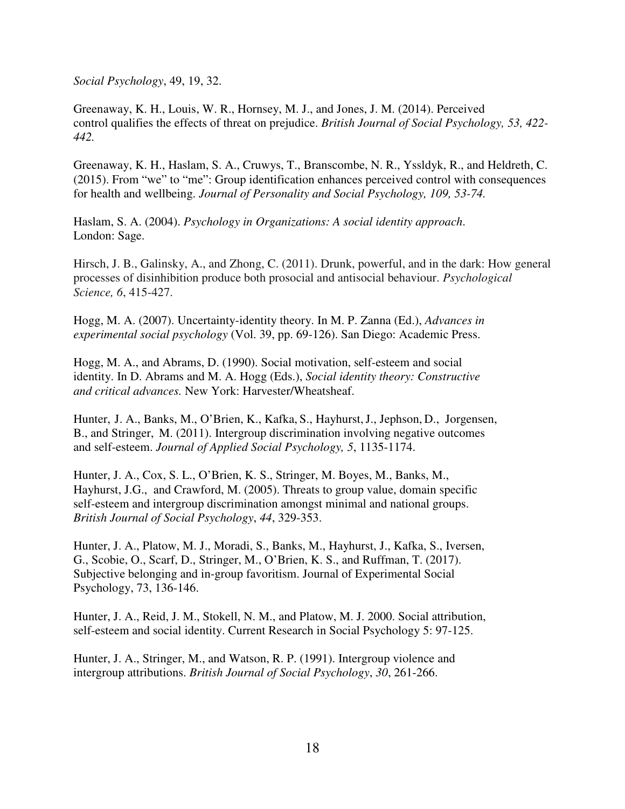*Social Psychology*, 49, 19, 32.

Greenaway, K. H., Louis, W. R., Hornsey, M. J., and Jones, J. M. (2014). Perceived control qualifies the effects of threat on prejudice. *British Journal of Social Psychology, 53, 422- 442.* 

Greenaway, K. H., Haslam, S. A., Cruwys, T., Branscombe, N. R., Yssldyk, R., and Heldreth, C. (2015). From "we" to "me": Group identification enhances perceived control with consequences for health and wellbeing. *Journal of Personality and Social Psychology, 109, 53-74.* 

Haslam, S. A. (2004). *Psychology in Organizations: A social identity approach*. London: Sage.

Hirsch, J. B., Galinsky, A., and Zhong, C. (2011). Drunk, powerful, and in the dark: How general processes of disinhibition produce both prosocial and antisocial behaviour. *Psychological Science, 6*, 415-427.

Hogg, M. A. (2007). Uncertainty-identity theory. In M. P. Zanna (Ed.), *Advances in experimental social psychology* (Vol. 39, pp. 69-126). San Diego: Academic Press.

Hogg, M. A., and Abrams, D. (1990). Social motivation, self-esteem and social identity. In D. Abrams and M. A. Hogg (Eds.), *Social identity theory: Constructive and critical advances.* New York: Harvester/Wheatsheaf.

Hunter, J. A., Banks, M., O'Brien, K., Kafka, S., Hayhurst,J., Jephson, D., Jorgensen, B., and Stringer, M. (2011). Intergroup discrimination involving negative outcomes and self-esteem. *Journal of Applied Social Psychology, 5*, 1135-1174.

Hunter, J. A., Cox, S. L., O'Brien, K. S., Stringer, M. Boyes, M., Banks, M., Hayhurst, J.G., and Crawford, M. (2005). Threats to group value, domain specific self-esteem and intergroup discrimination amongst minimal and national groups. *British Journal of Social Psychology*, *44*, 329-353.

Hunter, J. A., Platow, M. J., Moradi, S., Banks, M., Hayhurst, J., Kafka, S., Iversen, G., Scobie, O., Scarf, D., Stringer, M., O'Brien, K. S., and Ruffman, T. (2017). Subjective belonging and in-group favoritism. Journal of Experimental Social Psychology, 73, 136-146.

Hunter, J. A., Reid, J. M., Stokell, N. M., and Platow, M. J. 2000. Social attribution, self-esteem and social identity. Current Research in Social Psychology 5: 97-125.

Hunter, J. A., Stringer, M., and Watson, R. P. (1991). Intergroup violence and intergroup attributions. *British Journal of Social Psychology*, *30*, 261-266.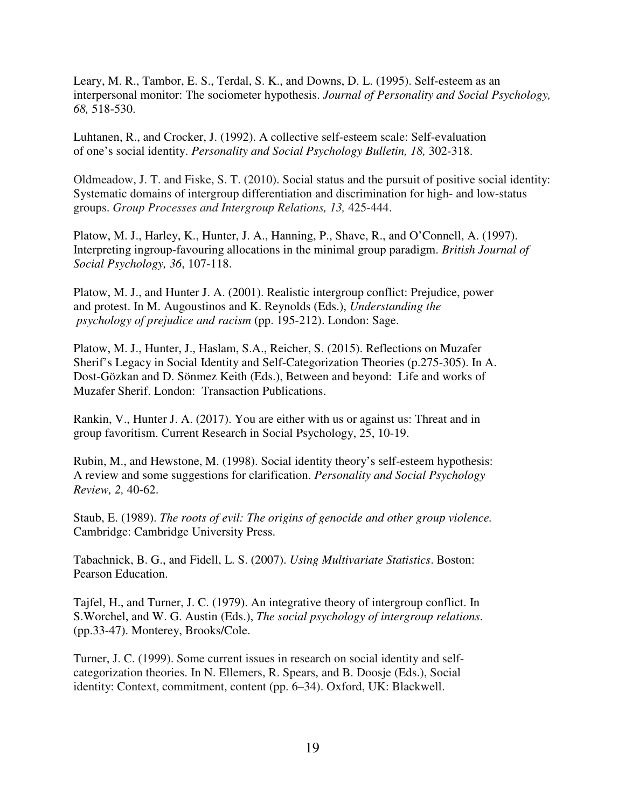Leary, M. R., Tambor, E. S., Terdal, S. K., and Downs, D. L. (1995). Self-esteem as an interpersonal monitor: The sociometer hypothesis. *Journal of Personality and Social Psychology, 68,* 518-530.

Luhtanen, R., and Crocker, J. (1992). A collective self-esteem scale: Self-evaluation of one's social identity. *Personality and Social Psychology Bulletin, 18,* 302-318.

Oldmeadow, J. T. and Fiske, S. T. (2010). Social status and the pursuit of positive social identity: Systematic domains of intergroup differentiation and discrimination for high- and low-status groups. *Group Processes and Intergroup Relations, 13,* 425-444.

Platow, M. J., Harley, K., Hunter, J. A., Hanning, P., Shave, R., and O'Connell, A. (1997). Interpreting ingroup-favouring allocations in the minimal group paradigm. *British Journal of Social Psychology, 36*, 107-118.

Platow, M. J., and Hunter J. A. (2001). Realistic intergroup conflict: Prejudice, power and protest. In M. Augoustinos and K. Reynolds (Eds.), *Understanding the psychology of prejudice and racism* (pp. 195-212). London: Sage.

Platow, M. J., Hunter, J., Haslam, S.A., Reicher, S. (2015). Reflections on Muzafer Sherif's Legacy in Social Identity and Self-Categorization Theories (p.275-305). In A. Dost-Gözkan and D. Sönmez Keith (Eds.), Between and beyond: Life and works of Muzafer Sherif. London: Transaction Publications.

Rankin, V., Hunter J. A. (2017). You are either with us or against us: Threat and in group favoritism. Current Research in Social Psychology, 25, 10-19.

Rubin, M., and Hewstone, M. (1998). Social identity theory's self-esteem hypothesis: A review and some suggestions for clarification. *Personality and Social Psychology Review, 2,* 40-62.

Staub, E. (1989). *The roots of evil: The origins of genocide and other group violence.*  Cambridge: Cambridge University Press.

Tabachnick, B. G., and Fidell, L. S. (2007). *Using Multivariate Statistics*. Boston: Pearson Education.

Tajfel, H., and Turner, J. C. (1979). An integrative theory of intergroup conflict. In S.Worchel, and W. G. Austin (Eds.), *The social psychology of intergroup relations*. (pp.33-47). Monterey, Brooks/Cole.

Turner, J. C. (1999). Some current issues in research on social identity and selfcategorization theories. In N. Ellemers, R. Spears, and B. Doosje (Eds.), Social identity: Context, commitment, content (pp. 6–34). Oxford, UK: Blackwell.